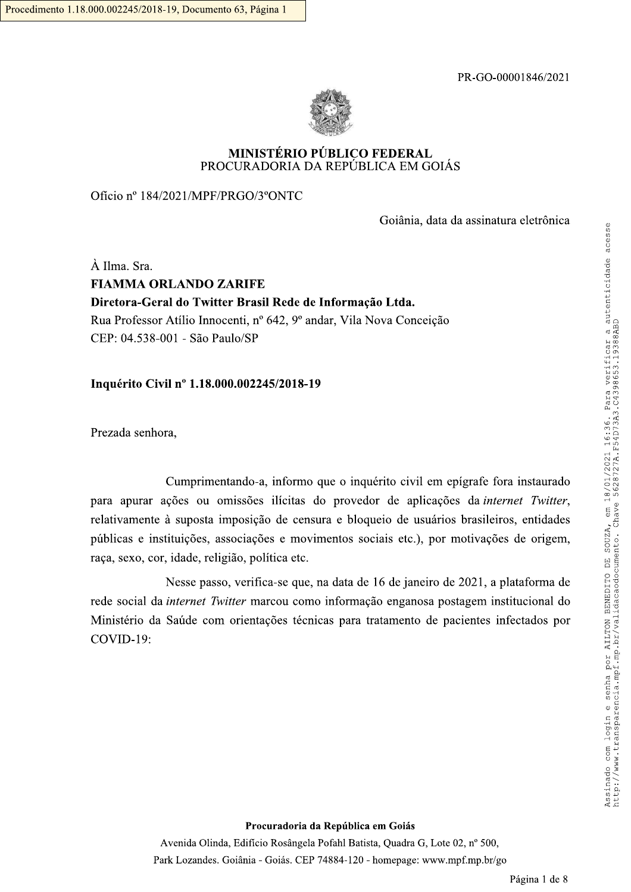PR-GO-00001846/2021



# **MINISTÉRIO PÚBLICO FEDERAL** PROCURADORIA DA REPÚBLICA EM GOIÁS

# Ofício nº 184/2021/MPF/PRGO/3°ONTC

Goiânia, data da assinatura eletrônica

À Ilma. Sra. **FIAMMA ORLANDO ZARIFE** Diretora-Geral do Twitter Brasil Rede de Informação Ltda. Rua Professor Atílio Innocenti, nº 642, 9º andar, Vila Nova Conceição CEP: 04.538-001 - São Paulo/SP

# Inquérito Civil nº 1.18.000.002245/2018-19

Prezada senhora,

Cumprimentando-a, informo que o inquérito civil em epígrafe fora instaurado para apurar ações ou omissões ilícitas do provedor de aplicações da *internet Twitter*, relativamente à suposta imposição de censura e bloqueio de usuários brasileiros, entidades públicas e instituições, associações e movimentos sociais etc.), por motivações de origem, raça, sexo, cor, idade, religião, política etc.

Nesse passo, verifica-se que, na data de 16 de janeiro de 2021, a plataforma de rede social da *internet Twitter* marcou como informação enganosa postagem institucional do Ministério da Saúde com orientações técnicas para tratamento de pacientes infectados por COVID-19:

> Procuradoria da República em Goiás Avenida Olinda, Edifício Rosângela Pofahl Batista, Quadra G, Lote 02, nº 500, Park Lozandes. Goiânia - Goiás. CEP 74884-120 - homepage: www.mpf.mp.br/go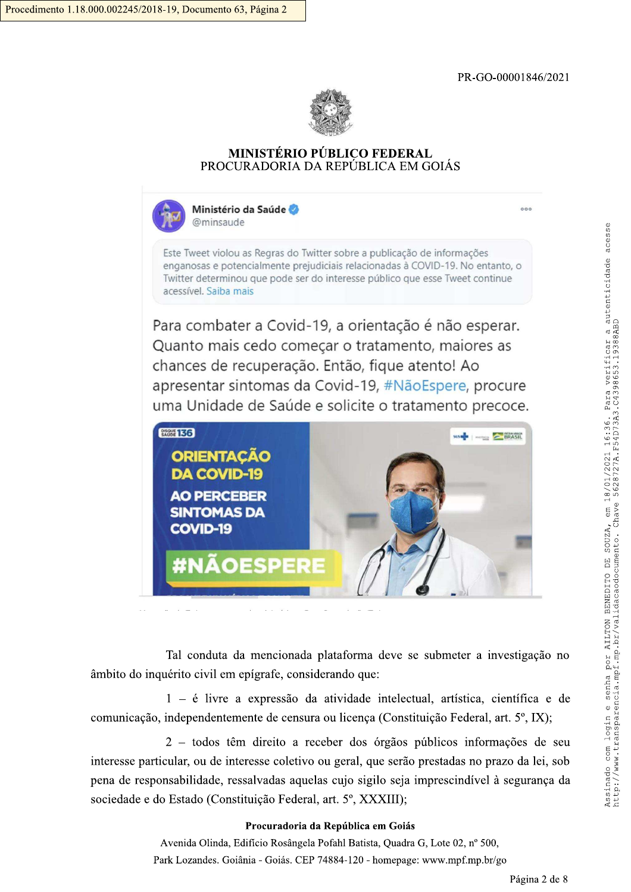

| Ministério da Saúde<br>@minsaude                                                                                                          | 000                                                                                                                                                                                                                         |
|-------------------------------------------------------------------------------------------------------------------------------------------|-----------------------------------------------------------------------------------------------------------------------------------------------------------------------------------------------------------------------------|
| Este Tweet violou as Regras do Twitter sobre a publicação de informações<br>acessível. Saiba mais                                         | enganosas e potencialmente prejudiciais relacionadas à COVID-19. No entanto, o<br>Twitter determinou que pode ser do interesse público que esse Tweet continue                                                              |
| chances de recuperação. Então, fique atento! Ao                                                                                           | Para combater a Covid-19, a orientação é não esperar.<br>Quanto mais cedo começar o tratamento, maiores as<br>apresentar sintomas da Covid-19, #NãoEspere, procure<br>uma Unidade de Saúde e solicite o tratamento precoce. |
| <b>DISQUE 136</b><br><b>ORIENTAÇÃO</b><br><b>DA COVID-19</b><br><b>AO PERCEBER</b><br><b>SINTOMAS DA</b><br><b>COVID-19</b><br>#NÃOESPERE | SISTER   MOTOR   BRASIL                                                                                                                                                                                                     |

Tal conduta da mencionada plataforma deve se submeter a investigação no âmbito do inquérito civil em epígrafe, considerando que:

1 – é livre a expressão da atividade intelectual, artística, científica e de comunicação, independentemente de censura ou licença (Constituição Federal, art. 5°, IX);

2 - todos têm direito a receber dos órgãos públicos informações de seu interesse particular, ou de interesse coletivo ou geral, que serão prestadas no prazo da lei, sob pena de responsabilidade, ressalvadas aquelas cujo sigilo seja imprescindível à segurança da sociedade e do Estado (Constituição Federal, art. 5°, XXXIII);

#### Procuradoria da República em Goiás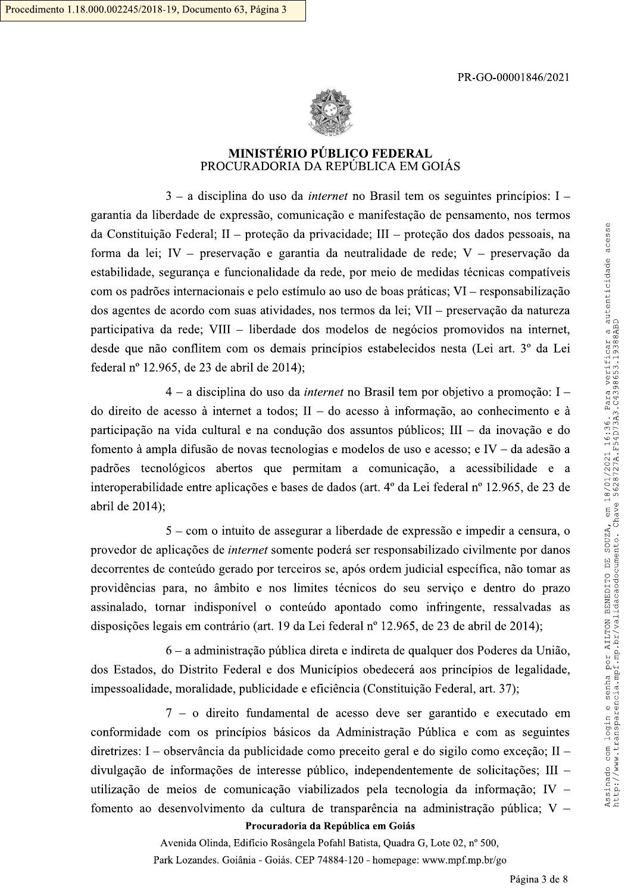

 $3 - a$  disciplina do uso da *internet* no Brasil tem os seguintes princípios: I – garantia da liberdade de expressão, comunicação e manifestação de pensamento, nos termos da Constituição Federal; II – proteção da privacidade; III – proteção dos dados pessoais, na forma da lei; IV – preservação e garantia da neutralidade de rede; V – preservação da estabilidade, segurança e funcionalidade da rede, por meio de medidas técnicas compatíveis com os padrões internacionais e pelo estímulo ao uso de boas práticas; VI – responsabilização dos agentes de acordo com suas atividades, nos termos da lei; VII – preservação da natureza participativa da rede; VIII - liberdade dos modelos de negócios promovidos na internet, desde que não conflitem com os demais princípios estabelecidos nesta (Lei art. 3<sup>°</sup> da Lei federal nº 12.965, de 23 de abril de 2014);

 $4 - a$  disciplina do uso da *internet* no Brasil tem por objetivo a promoção: I – do direito de acesso à internet a todos;  $II$  – do acesso à informação, ao conhecimento e à participação na vida cultural e na condução dos assuntos públicos; III – da inovação e do fomento à ampla difusão de novas tecnologias e modelos de uso e acesso; e IV – da adesão a padrões tecnológicos abertos que permitam a comunicação, a acessibilidade e a interoperabilidade entre aplicações e bases de dados (art. 4º da Lei federal nº 12.965, de 23 de abril de 2014);

5 – com o intuito de assegurar a liberdade de expressão e impedir a censura, o provedor de aplicações de *internet* somente poderá ser responsabilizado civilmente por danos decorrentes de conteúdo gerado por terceiros se, após ordem judicial específica, não tomar as providências para, no âmbito e nos limites técnicos do seu serviço e dentro do prazo assinalado, tornar indisponível o conteúdo apontado como infringente, ressalvadas as disposições legais em contrário (art. 19 da Lei federal nº 12.965, de 23 de abril de 2014);

 $6 - a$  administração pública direta e indireta de qualquer dos Poderes da União, dos Estados, do Distrito Federal e dos Municípios obedecerá aos princípios de legalidade, impessoalidade, moralidade, publicidade e eficiência (Constituição Federal, art. 37);

7 – o direito fundamental de acesso deve ser garantido e executado em conformidade com os princípios básicos da Administração Pública e com as seguintes diretrizes: I – observância da publicidade como preceito geral e do sigilo como exceção; II – divulgação de informações de interesse público, independentemente de solicitações; III utilização de meios de comunicação viabilizados pela tecnologia da informação; IV fomento ao desenvolvimento da cultura de transparência na administração pública;  $V -$ 

# Procuradoria da República em Goiás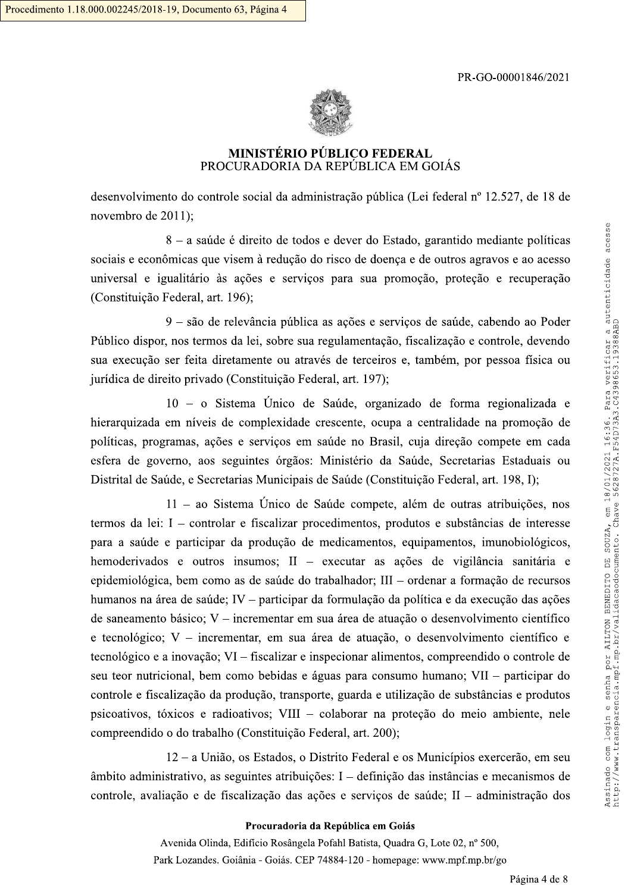

desenvolvimento do controle social da administração pública (Lei federal nº 12.527, de 18 de novembro de 2011):

8 – a saúde é direito de todos e dever do Estado, garantido mediante políticas sociais e econômicas que visem à redução do risco de doença e de outros agravos e ao acesso universal e igualitário às ações e serviços para sua promoção, proteção e recuperação (Constituição Federal, art. 196);

9 – são de relevância pública as ações e serviços de saúde, cabendo ao Poder Público dispor, nos termos da lei, sobre sua regulamentação, fiscalização e controle, devendo sua execução ser feita diretamente ou através de terceiros e, também, por pessoa física ou jurídica de direito privado (Constituição Federal, art. 197);

 $10 - o$  Sistema Único de Saúde, organizado de forma regionalizada e hierarquizada em níveis de complexidade crescente, ocupa a centralidade na promoção de políticas, programas, ações e serviços em saúde no Brasil, cuja direção compete em cada esfera de governo, aos seguintes órgãos: Ministério da Saúde, Secretarias Estaduais ou Distrital de Saúde, e Secretarias Municipais de Saúde (Constituição Federal, art. 198, I);

11 – ao Sistema Único de Saúde compete, além de outras atribuições, nos termos da lei: I – controlar e fiscalizar procedimentos, produtos e substâncias de interesse para a saúde e participar da produção de medicamentos, equipamentos, imunobiológicos, hemoderivados e outros insumos; II - executar as ações de vigilância sanitária e epidemiológica, bem como as de saúde do trabalhador; III – ordenar a formação de recursos humanos na área de saúde; IV – participar da formulação da política e da execução das ações de saneamento básico; V - incrementar em sua área de atuação o desenvolvimento científico e tecnológico; V - incrementar, em sua área de atuação, o desenvolvimento científico e tecnológico e a inovação; VI – fiscalizar e inspecionar alimentos, compreendido o controle de seu teor nutricional, bem como bebidas e águas para consumo humano; VII - participar do controle e fiscalização da produção, transporte, guarda e utilização de substâncias e produtos psicoativos, tóxicos e radioativos; VIII - colaborar na proteção do meio ambiente, nele compreendido o do trabalho (Constituição Federal, art. 200);

12 – a União, os Estados, o Distrito Federal e os Municípios exercerão, em seu âmbito administrativo, as seguintes atribuições: I – definição das instâncias e mecanismos de controle, avaliação e de fiscalização das ações e serviços de saúde; II – administração dos

#### Procuradoria da República em Goiás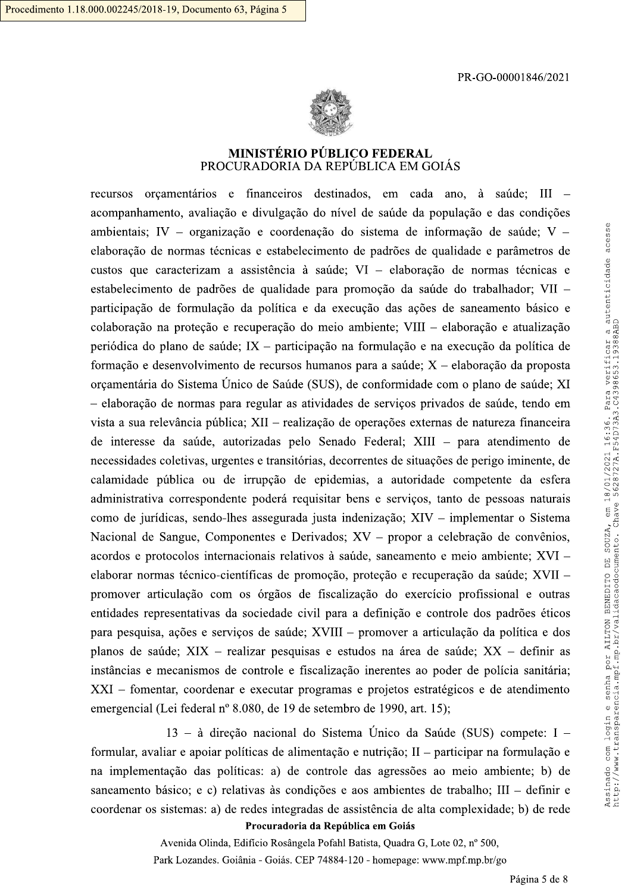

recursos orçamentários e financeiros destinados, em cada ano, à saúde: III acompanhamento, avaliação e divulgação do nível de saúde da população e das condições ambientais; IV – organização e coordenação do sistema de informação de saúde; V – elaboração de normas técnicas e estabelecimento de padrões de qualidade e parâmetros de custos que caracterizam a assistência à saúde; VI - elaboração de normas técnicas e estabelecimento de padrões de qualidade para promoção da saúde do trabalhador; VII – participação de formulação da política e da execução das ações de saneamento básico e colaboração na proteção e recuperação do meio ambiente; VIII – elaboração e atualização periódica do plano de saúde; IX – participação na formulação e na execução da política de formação e desenvolvimento de recursos humanos para a saúde;  $X -$ elaboração da proposta orçamentária do Sistema Único de Saúde (SUS), de conformidade com o plano de saúde; XI - elaboração de normas para regular as atividades de serviços privados de saúde, tendo em vista a sua relevância pública; XII – realização de operações externas de natureza financeira de interesse da saúde, autorizadas pelo Senado Federal; XIII - para atendimento de necessidades coletivas, urgentes e transitórias, decorrentes de situações de perigo iminente, de calamidade pública ou de irrupção de epidemias, a autoridade competente da esfera administrativa correspondente poderá requisitar bens e serviços, tanto de pessoas naturais como de jurídicas, sendo-lhes assegurada justa indenização; XIV – implementar o Sistema Nacional de Sangue, Componentes e Derivados; XV – propor a celebração de convênios, acordos e protocolos internacionais relativos à saúde, saneamento e meio ambiente; XVI – elaborar normas técnico-científicas de promoção, proteção e recuperação da saúde; XVII promover articulação com os órgãos de fiscalização do exercício profissional e outras entidades representativas da sociedade civil para a definição e controle dos padrões éticos para pesquisa, ações e serviços de saúde; XVIII – promover a articulação da política e dos planos de saúde; XIX - realizar pesquisas e estudos na área de saúde; XX - definir as instâncias e mecanismos de controle e fiscalização inerentes ao poder de polícia sanitária; XXI – fomentar, coordenar e executar programas e projetos estratégicos e de atendimento emergencial (Lei federal nº 8.080, de 19 de setembro de 1990, art. 15);

 $13 - \dot{a}$  direção nacional do Sistema Único da Saúde (SUS) compete: I formular, avaliar e apoiar políticas de alimentação e nutrição; II – participar na formulação e na implementação das políticas: a) de controle das agressões ao meio ambiente; b) de saneamento básico; e c) relativas às condições e aos ambientes de trabalho; III – definir e coordenar os sistemas: a) de redes integradas de assistência de alta complexidade; b) de rede

#### Procuradoria da República em Goiás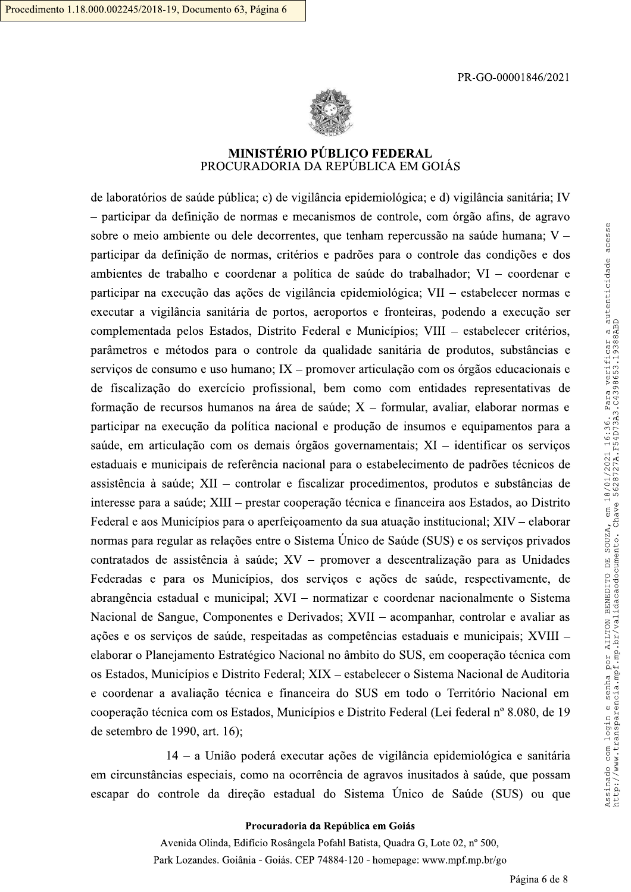

de laboratórios de saúde pública; c) de vigilância epidemiológica; e d) vigilância sanitária; IV - participar da definição de normas e mecanismos de controle, com órgão afins, de agravo sobre o meio ambiente ou dele decorrentes, que tenham repercussão na saúde humana;  $V$ participar da definição de normas, critérios e padrões para o controle das condições e dos ambientes de trabalho e coordenar a política de saúde do trabalhador; VI - coordenar e participar na execução das ações de vigilância epidemiológica; VII – estabelecer normas e executar a vigilância sanitária de portos, aeroportos e fronteiras, podendo a execução ser complementada pelos Estados, Distrito Federal e Municípios; VIII - estabelecer critérios, parâmetros e métodos para o controle da qualidade sanitária de produtos, substâncias e serviços de consumo e uso humano; IX – promover articulação com os órgãos educacionais e de fiscalização do exercício profissional, bem como com entidades representativas de formação de recursos humanos na área de saúde;  $X$  – formular, avaliar, elaborar normas e participar na execução da política nacional e produção de insumos e equipamentos para a saúde, em articulação com os demais órgãos governamentais;  $XI -$  identificar os serviços estaduais e municipais de referência nacional para o estabelecimento de padrões técnicos de assistência à saúde; XII – controlar e fiscalizar procedimentos, produtos e substâncias de interesse para a saúde; XIII – prestar cooperação técnica e financeira aos Estados, ao Distrito Federal e aos Municípios para o aperfeiçoamento da sua atuação institucional; XIV – elaborar normas para regular as relações entre o Sistema Único de Saúde (SUS) e os serviços privados contratados de assistência à saúde; XV - promover a descentralização para as Unidades Federadas e para os Municípios, dos serviços e ações de saúde, respectivamente, de abrangência estadual e municipal; XVI - normatizar e coordenar nacionalmente o Sistema Nacional de Sangue, Componentes e Derivados; XVII - acompanhar, controlar e avaliar as ações e os serviços de saúde, respeitadas as competências estaduais e municipais; XVIII elaborar o Planejamento Estratégico Nacional no âmbito do SUS, em cooperação técnica com os Estados, Municípios e Distrito Federal; XIX – estabelecer o Sistema Nacional de Auditoria e coordenar a avaliação técnica e financeira do SUS em todo o Território Nacional em cooperação técnica com os Estados, Municípios e Distrito Federal (Lei federal nº 8.080, de 19 de setembro de 1990, art. 16);

14 – a União poderá executar ações de vigilância epidemiológica e sanitária em circunstâncias especiais, como na ocorrência de agravos inusitados à saúde, que possam escapar do controle da direção estadual do Sistema Único de Saúde (SUS) ou que

#### Procuradoria da República em Goiás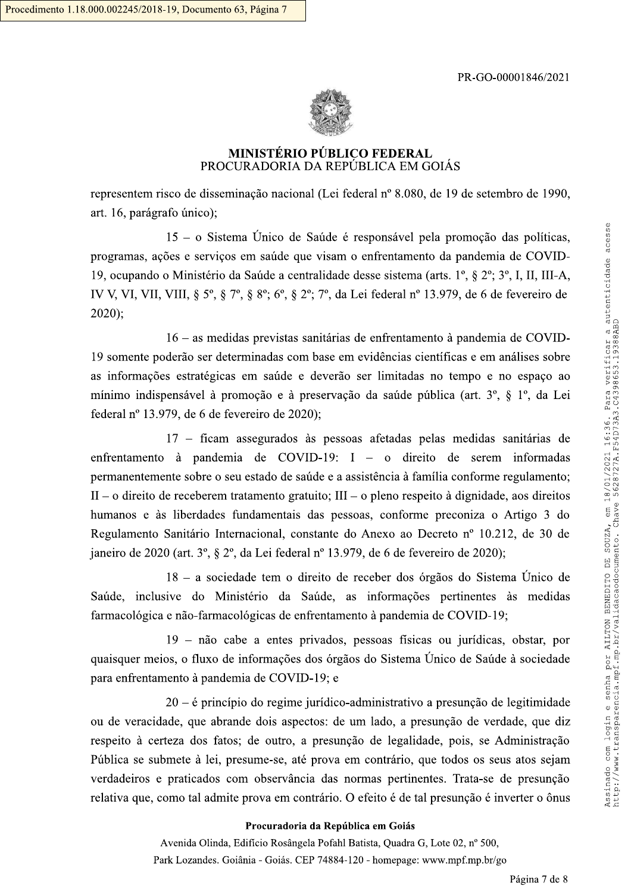

representem risco de disseminação nacional (Lei federal nº 8.080, de 19 de setembro de 1990, art. 16, parágrafo único);

15 – o Sistema Único de Saúde é responsável pela promoção das políticas, programas, ações e serviços em saúde que visam o enfrentamento da pandemia de COVID-19, ocupando o Ministério da Saúde a centralidade desse sistema (arts. 1°, § 2°; 3°, I, II, III-A, IV V, VI, VII, VIII, § 5°, § 7°, § 8°; 6°, § 2°; 7°, da Lei federal nº 13.979, de 6 de fevereiro de  $2020$ ;

16 – as medidas previstas sanitárias de enfrentamento à pandemia de COVID-19 somente poderão ser determinadas com base em evidências científicas e em análises sobre as informações estratégicas em saúde e deverão ser limitadas no tempo e no espaço ao mínimo indispensável à promoção e à preservação da saúde pública (art. 3°, § 1°, da Lei federal nº 13.979, de 6 de fevereiro de 2020);

17 - ficam assegurados às pessoas afetadas pelas medidas sanitárias de enfrentamento à pandemia de COVID-19: I – o direito de serem informadas permanentemente sobre o seu estado de saúde e a assistência à família conforme regulamento;  $II - o$  direito de receberem tratamento gratuito;  $III - o$  pleno respeito à dignidade, aos direitos humanos e às liberdades fundamentais das pessoas, conforme preconiza o Artigo 3 do Regulamento Sanitário Internacional, constante do Anexo ao Decreto nº 10.212, de 30 de janeiro de 2020 (art. 3°, § 2°, da Lei federal nº 13.979, de 6 de fevereiro de 2020);

18 – a sociedade tem o direito de receber dos órgãos do Sistema Único de Saúde, inclusive do Ministério da Saúde, as informações pertinentes às medidas farmacológica e não-farmacológicas de enfrentamento à pandemia de COVID-19;

19 - não cabe a entes privados, pessoas físicas ou jurídicas, obstar, por quaisquer meios, o fluxo de informações dos órgãos do Sistema Único de Saúde à sociedade para enfrentamento à pandemia de COVID-19; e

20 – é princípio do regime jurídico-administrativo a presunção de legitimidade ou de veracidade, que abrande dois aspectos: de um lado, a presunção de verdade, que diz respeito à certeza dos fatos; de outro, a presunção de legalidade, pois, se Administração Pública se submete à lei, presume-se, até prova em contrário, que todos os seus atos sejam verdadeiros e praticados com observância das normas pertinentes. Trata-se de presunção relativa que, como tal admite prova em contrário. O efeito é de tal presunção é inverter o ônus

# Procuradoria da República em Goiás